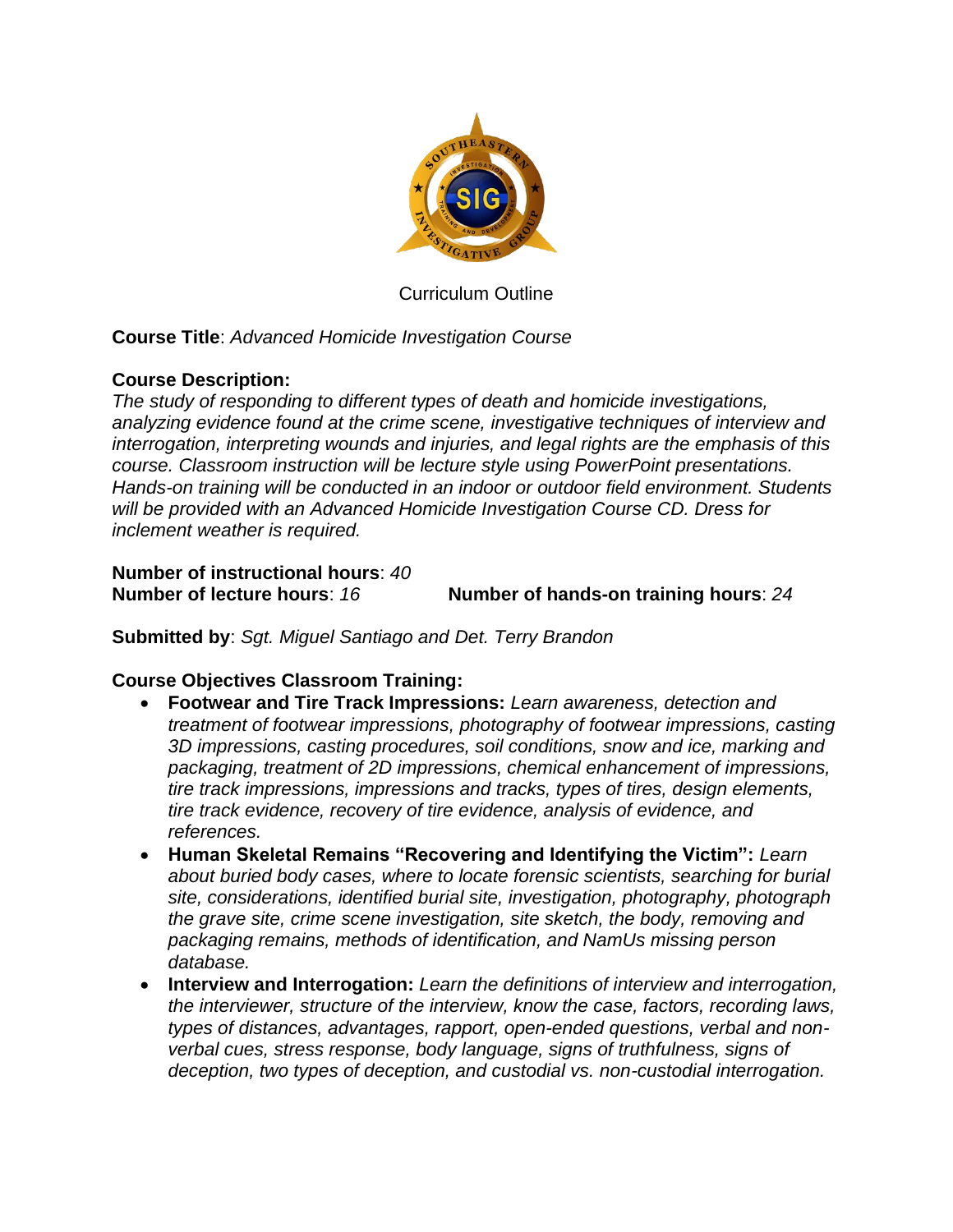

Curriculum Outline

# **Course Title**: *Advanced Homicide Investigation Course*

### **Course Description:**

*The study of responding to different types of death and homicide investigations, analyzing evidence found at the crime scene, investigative techniques of interview and interrogation, interpreting wounds and injuries, and legal rights are the emphasis of this course. Classroom instruction will be lecture style using PowerPoint presentations. Hands-on training will be conducted in an indoor or outdoor field environment. Students will be provided with an Advanced Homicide Investigation Course CD. Dress for inclement weather is required.*

### **Number of instructional hours**: *40* **Number of lecture hours**: *16* **Number of hands-on training hours**: *24*

**Submitted by**: *Sgt. Miguel Santiago and Det. Terry Brandon*

# **Course Objectives Classroom Training:**

- **Footwear and Tire Track Impressions:** *Learn awareness, detection and treatment of footwear impressions, photography of footwear impressions, casting 3D impressions, casting procedures, soil conditions, snow and ice, marking and packaging, treatment of 2D impressions, chemical enhancement of impressions, tire track impressions, impressions and tracks, types of tires, design elements, tire track evidence, recovery of tire evidence, analysis of evidence, and references.*
- **Human Skeletal Remains "Recovering and Identifying the Victim":** *Learn about buried body cases, where to locate forensic scientists, searching for burial site, considerations, identified burial site, investigation, photography, photograph the grave site, crime scene investigation, site sketch, the body, removing and packaging remains, methods of identification, and NamUs missing person database.*
- **Interview and Interrogation:** *Learn the definitions of interview and interrogation, the interviewer, structure of the interview, know the case, factors, recording laws, types of distances, advantages, rapport, open-ended questions, verbal and nonverbal cues, stress response, body language, signs of truthfulness, signs of deception, two types of deception, and custodial vs. non-custodial interrogation.*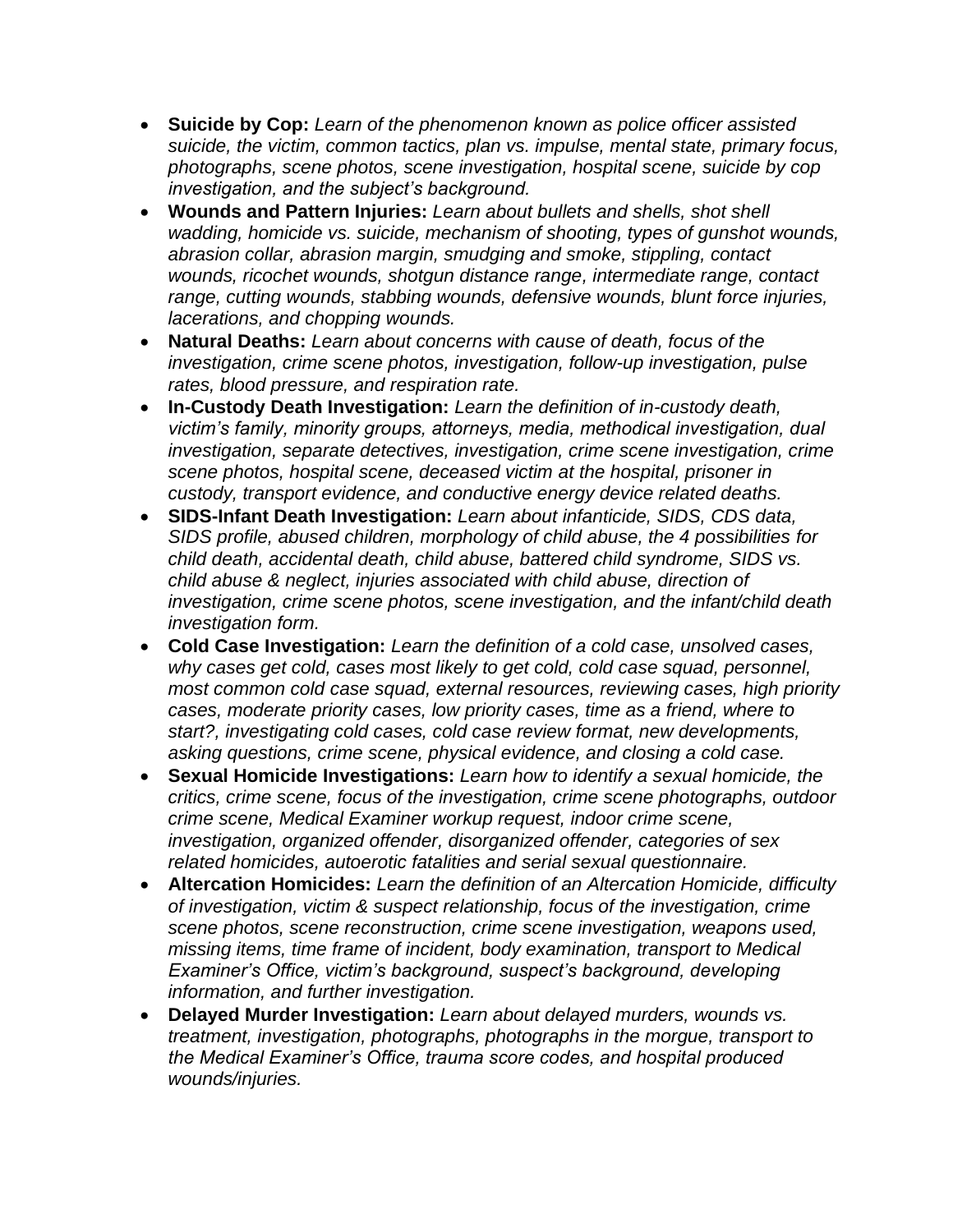- **Suicide by Cop:** *Learn of the phenomenon known as police officer assisted suicide, the victim, common tactics, plan vs. impulse, mental state, primary focus, photographs, scene photos, scene investigation, hospital scene, suicide by cop investigation, and the subject's background.*
- **Wounds and Pattern Injuries:** *Learn about bullets and shells, shot shell wadding, homicide vs. suicide, mechanism of shooting, types of gunshot wounds, abrasion collar, abrasion margin, smudging and smoke, stippling, contact wounds, ricochet wounds, shotgun distance range, intermediate range, contact range, cutting wounds, stabbing wounds, defensive wounds, blunt force injuries, lacerations, and chopping wounds.*
- **Natural Deaths:** *Learn about concerns with cause of death, focus of the investigation, crime scene photos, investigation, follow-up investigation, pulse rates, blood pressure, and respiration rate.*
- **In-Custody Death Investigation:** *Learn the definition of in-custody death, victim's family, minority groups, attorneys, media, methodical investigation, dual investigation, separate detectives, investigation, crime scene investigation, crime scene photos, hospital scene, deceased victim at the hospital, prisoner in custody, transport evidence, and conductive energy device related deaths.*
- **SIDS-Infant Death Investigation:** *Learn about infanticide, SIDS, CDS data, SIDS profile, abused children, morphology of child abuse, the 4 possibilities for child death, accidental death, child abuse, battered child syndrome, SIDS vs. child abuse & neglect, injuries associated with child abuse, direction of investigation, crime scene photos, scene investigation, and the infant/child death investigation form.*
- **Cold Case Investigation:** *Learn the definition of a cold case, unsolved cases, why cases get cold, cases most likely to get cold, cold case squad, personnel, most common cold case squad, external resources, reviewing cases, high priority cases, moderate priority cases, low priority cases, time as a friend, where to start?, investigating cold cases, cold case review format, new developments, asking questions, crime scene, physical evidence, and closing a cold case.*
- **Sexual Homicide Investigations:** *Learn how to identify a sexual homicide, the critics, crime scene, focus of the investigation, crime scene photographs, outdoor crime scene, Medical Examiner workup request, indoor crime scene, investigation, organized offender, disorganized offender, categories of sex related homicides, autoerotic fatalities and serial sexual questionnaire.*
- **Altercation Homicides:** *Learn the definition of an Altercation Homicide, difficulty of investigation, victim & suspect relationship, focus of the investigation, crime scene photos, scene reconstruction, crime scene investigation, weapons used, missing items, time frame of incident, body examination, transport to Medical Examiner's Office, victim's background, suspect's background, developing information, and further investigation.*
- **Delayed Murder Investigation:** *Learn about delayed murders, wounds vs. treatment, investigation, photographs, photographs in the morgue, transport to the Medical Examiner's Office, trauma score codes, and hospital produced wounds/injuries.*